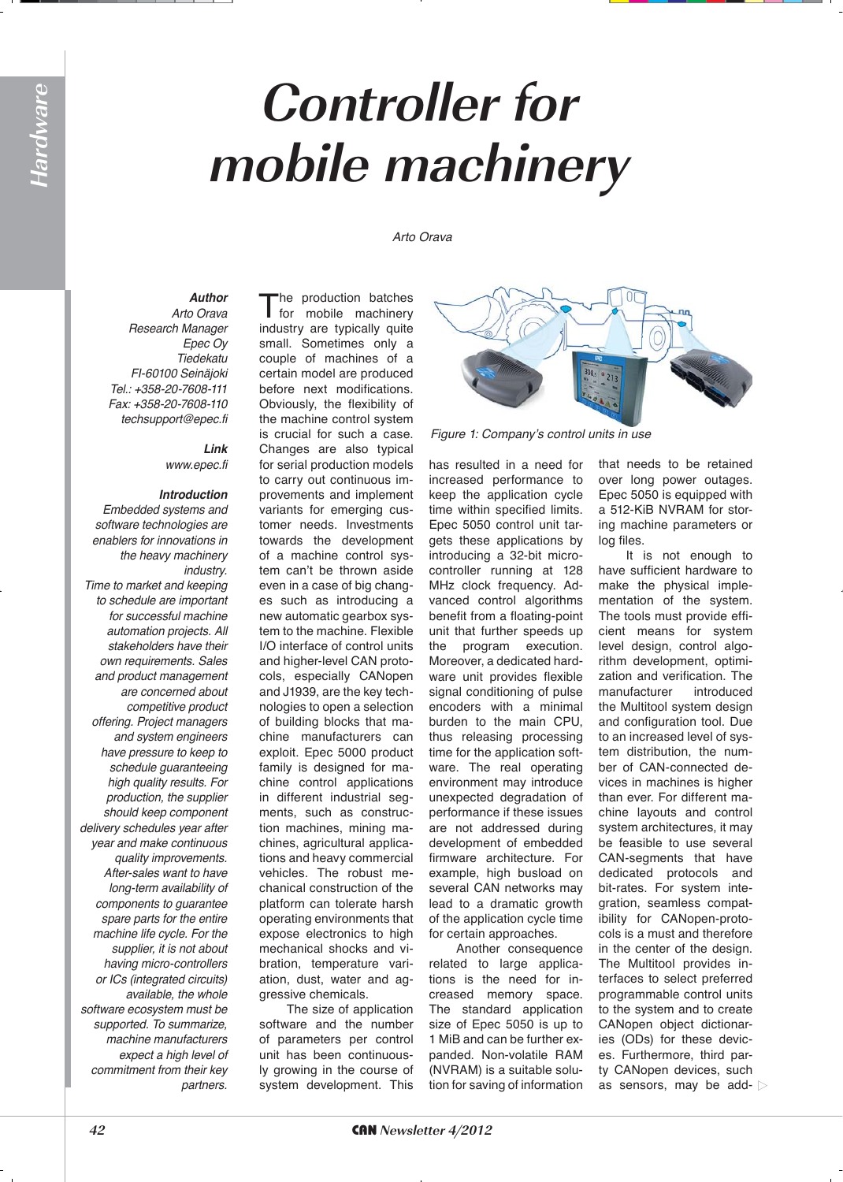## **Controller for mobile machinery**

Arto Orava

*Author* Arto Orava

*Research Manager* Epec Ov *Tiedekatu* FI-60100 Seinäjoki Tel.: +358-20-7608-111 Fax: +358-20-7608-110 *techsupport@epec.fi*

> *Link www.epec.fi*

## *Introduction*

Embedded systems and *software technologies are enablers for innovations in the heavy machinery industry.*

*Time to market and keeping to schedule are important for successful machine automation projects. All stakeholders have their*  own requirements. Sales *and product management are concerned about competitive product offering. Project managers and system engineers have pressure to keep to schedule guaranteeing high quality results. For production, the supplier should keep component delivery schedules year after year and make continuous quality improvements. After-sales want to have long-term availability of components to guarantee spare parts for the entire machine life cycle. For the supplier, it is not about having micro-controllers*  or ICs (integrated circuits) *available, the whole software ecosystem must be supported. To summarize, machine manufacturers expect a high level of commitment from their key partners.* 

The production batches<br>for mobile machinery industry are typically quite small. Sometimes only a couple of machines of a certain model are produced before next modifications. Obviously, the flexibility of the machine control system is crucial for such a case. Changes are also typical for serial production models to carry out continuous improvements and implement variants for emerging customer needs. Investments towards the development of a machine control system can't be thrown aside even in a case of big changes such as introducing a new automatic gearbox system to the machine. Flexible I/O interface of control units and higher-level CAN protocols, especially CANopen and J1939, are the key technologies to open a selection of building blocks that machine manufacturers can exploit. Epec 5000 product family is designed for machine control applications in different industrial segments, such as construction machines, mining machines, agricultural applications and heavy commercial vehicles. The robust mechanical construction of the platform can tolerate harsh operating environments that expose electronics to high mechanical shocks and vibration, temperature variation, dust, water and aggressive chemicals.

The size of application software and the number of parameters per control unit has been continuously growing in the course of system development. This



Figure 1: Company's control units in use

has resulted in a need for increased performance to keep the application cycle time within specified limits. Epec 5050 control unit targets these applications by introducing a 32-bit microcontroller running at 128 MHz clock frequency. Advanced control algorithms benefit from a floating-point unit that further speeds up the program execution. Moreover, a dedicated hardware unit provides flexible signal conditioning of pulse encoders with a minimal burden to the main CPU, thus releasing processing time for the application software. The real operating environment may introduce unexpected degradation of performance if these issues are not addressed during development of embedded firmware architecture. For example, high busload on several CAN networks may lead to a dramatic growth of the application cycle time for certain approaches.

Another consequence related to large applications is the need for increased memory space. The standard application size of Epec 5050 is up to 1 MiB and can be further expanded. Non-volatile RAM (NVRAM) is a suitable solution for saving of information that needs to be retained over long power outages. Epec 5050 is equipped with a 512-KiB NVRAM for storing machine parameters or log files.

It is not enough to have sufficient hardware to make the physical implementation of the system. The tools must provide efficient means for system level design, control algorithm development, optimization and verification. The manufacturer introduced the Multitool system design and configuration tool. Due to an increased level of system distribution, the number of CAN-connected devices in machines is higher than ever. For different machine layouts and control system architectures, it may be feasible to use several CAN-segments that have dedicated protocols and bit-rates. For system integration, seamless compatibility for CANopen-protocols is a must and therefore in the center of the design. The Multitool provides interfaces to select preferred programmable control units to the system and to create CANopen object dictionaries (ODs) for these devices. Furthermore, third party CANopen devices, such as sensors, may be add-